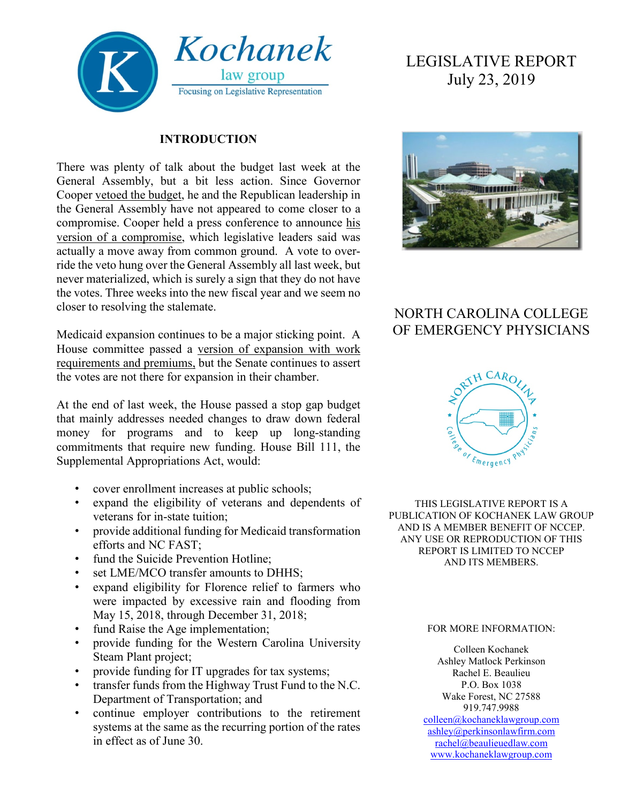

#### **INTRODUCTION**

There was plenty of talk about the budget last week at the General Assembly, but a bit less action. Since Governor Cooper [vetoed the budget,](https://www.wral.com/cooper-vetoes-state-budget-calling-it-an-astonishing-failure/18479819/) he and the Republican leadership in the General Assembly have not appeared to come closer to a compromise. Cooper held a press conference to announce [his](https://www.wnct.com/news/north-carolina/as-cooper-makes-offer-efforts-to-advance-nc-budget-stall/)  [version of a compromise,](https://www.wnct.com/news/north-carolina/as-cooper-makes-offer-efforts-to-advance-nc-budget-stall/) which legislative leaders said was actually a move away from common ground. A vote to override the veto hung over the General Assembly all last week, but never materialized, which is surely a sign that they do not have the votes. Three weeks into the new fiscal year and we seem no closer to resolving the stalemate.

Medicaid expansion continues to be a major sticking point. A House committee passed a [version of expansion with work](https://www.wral.com/after-years-of-debate-nc-medicaid-expansion-plan-clears-first-legislative-hurdle/18499529/)  [requirements and premiums,](https://www.wral.com/after-years-of-debate-nc-medicaid-expansion-plan-clears-first-legislative-hurdle/18499529/) but the Senate continues to assert the votes are not there for expansion in their chamber.

At the end of last week, the House passed a stop gap budget that mainly addresses needed changes to draw down federal money for programs and to keep up long-standing commitments that require new funding. House Bill 111, the Supplemental Appropriations Act, would:

- cover enrollment increases at public schools;
- expand the eligibility of veterans and dependents of veterans for in-state tuition;
- provide additional funding for Medicaid transformation efforts and NC FAST;
- fund the Suicide Prevention Hotline:
- set LME/MCO transfer amounts to DHHS;
- expand eligibility for Florence relief to farmers who were impacted by excessive rain and flooding from May 15, 2018, through December 31, 2018;
- fund Raise the Age implementation;
- provide funding for the Western Carolina University Steam Plant project;
- provide funding for IT upgrades for tax systems;
- transfer funds from the Highway Trust Fund to the N.C. Department of Transportation; and
- continue employer contributions to the retirement systems at the same as the recurring portion of the rates in effect as of June 30.

# LEGISLATIVE REPORT July 23, 2019



## NORTH CAROLINA COLLEGE OF EMERGENCY PHYSICIANS



THIS LEGISLATIVE REPORT IS A PUBLICATION OF KOCHANEK LAW GROUP AND IS A MEMBER BENEFIT OF NCCEP. ANY USE OR REPRODUCTION OF THIS REPORT IS LIMITED TO NCCEP AND ITS MEMBERS.

#### FOR MORE INFORMATION:

Colleen Kochanek Ashley Matlock Perkinson Rachel E. Beaulieu P.O. Box 1038 Wake Forest, NC 27588 919.747.9988

[colleen@kochaneklawgroup.com](mailto:colleen@kochaneklawgroup.com) [ashley@perkinsonlawfirm.com](mailto:ashley@perkinsonlawfirm.com) [rachel@beaulieuedlaw.com](mailto:rachel@beaulieuedlaw.com) [www.kochaneklawgroup.com](http://www.kochaneklawgroup.com/)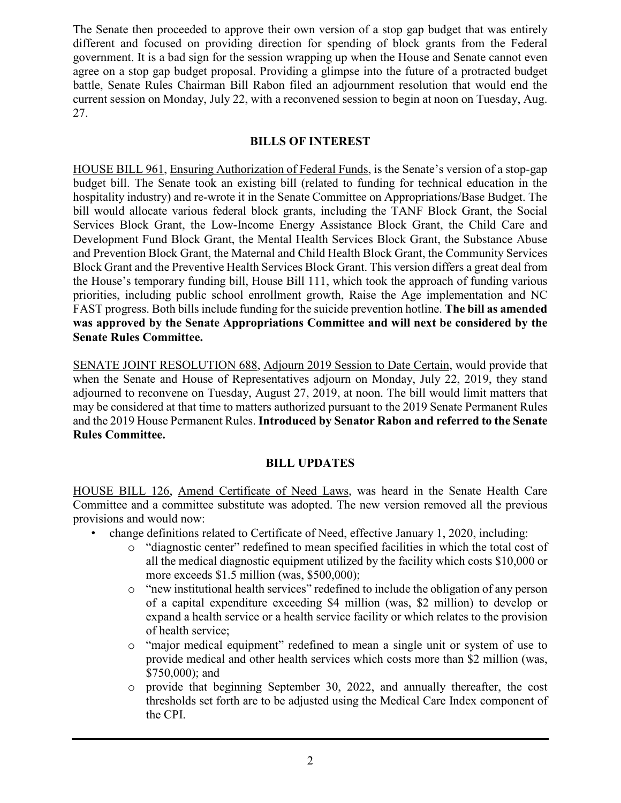The Senate then proceeded to approve their own version of a stop gap budget that was entirely different and focused on providing direction for spending of block grants from the Federal government. It is a bad sign for the session wrapping up when the House and Senate cannot even agree on a stop gap budget proposal. Providing a glimpse into the future of a protracted budget battle, Senate Rules Chairman Bill Rabon filed an adjournment resolution that would end the current session on Monday, July 22, with a reconvened session to begin at noon on Tuesday, Aug. 27.

#### **BILLS OF INTEREST**

HOUSE BILL 961, Ensuring Authorization of Federal Funds, is the Senate's version of a stop-gap budget bill. The Senate took an existing bill (related to funding for technical education in the hospitality industry) and re-wrote it in the Senate Committee on Appropriations/Base Budget. The bill would allocate various federal block grants, including the TANF Block Grant, the Social Services Block Grant, the Low-Income Energy Assistance Block Grant, the Child Care and Development Fund Block Grant, the Mental Health Services Block Grant, the Substance Abuse and Prevention Block Grant, the Maternal and Child Health Block Grant, the Community Services Block Grant and the Preventive Health Services Block Grant. This version differs a great deal from the House's temporary funding bill, House Bill 111, which took the approach of funding various priorities, including public school enrollment growth, Raise the Age implementation and NC FAST progress. Both bills include funding for the suicide prevention hotline. **The bill as amended was approved by the Senate Appropriations Committee and will next be considered by the Senate Rules Committee.**

SENATE JOINT RESOLUTION 688, Adjourn 2019 Session to Date Certain, would provide that when the Senate and House of Representatives adjourn on Monday, July 22, 2019, they stand adjourned to reconvene on Tuesday, August 27, 2019, at noon. The bill would limit matters that may be considered at that time to matters authorized pursuant to the 2019 Senate Permanent Rules and the 2019 House Permanent Rules. **Introduced by Senator Rabon and referred to the Senate Rules Committee.**

#### **BILL UPDATES**

HOUSE BILL 126, Amend Certificate of Need Laws, was heard in the Senate Health Care Committee and a committee substitute was adopted. The new version removed all the previous provisions and would now:

- change definitions related to Certificate of Need, effective January 1, 2020, including:
	- o "diagnostic center" redefined to mean specified facilities in which the total cost of all the medical diagnostic equipment utilized by the facility which costs \$10,000 or more exceeds \$1.5 million (was, \$500,000);
	- o "new institutional health services" redefined to include the obligation of any person of a capital expenditure exceeding \$4 million (was, \$2 million) to develop or expand a health service or a health service facility or which relates to the provision of health service;
	- o "major medical equipment" redefined to mean a single unit or system of use to provide medical and other health services which costs more than \$2 million (was, \$750,000); and
	- o provide that beginning September 30, 2022, and annually thereafter, the cost thresholds set forth are to be adjusted using the Medical Care Index component of the CPI.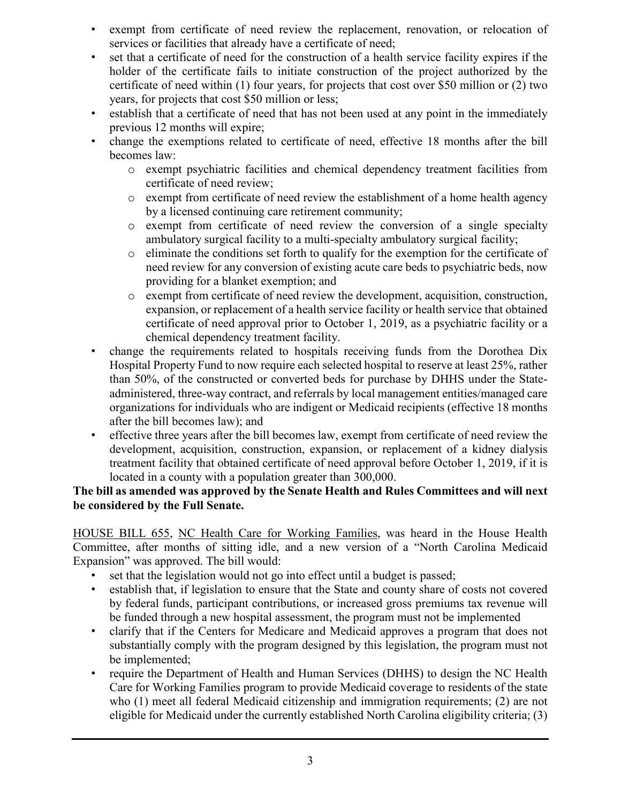- exempt from certificate of need review the replacement, renovation, or relocation of services or facilities that already have a certificate of need;
- set that a certificate of need for the construction of a health service facility expires if the holder of the certificate fails to initiate construction of the project authorized by the certificate of need within (1) four years, for projects that cost over \$50 million or (2) two years, for projects that cost \$50 million or less;
- establish that a certificate of need that has not been used at any point in the immediately previous 12 months will expire;
- change the exemptions related to certificate of need, effective 18 months after the bill becomes law:
	- o exempt psychiatric facilities and chemical dependency treatment facilities from certificate of need review;
	- o exempt from certificate of need review the establishment of a home health agency by a licensed continuing care retirement community;
	- o exempt from certificate of need review the conversion of a single specialty ambulatory surgical facility to a multi-specialty ambulatory surgical facility;
	- o eliminate the conditions set forth to qualify for the exemption for the certificate of need review for any conversion of existing acute care beds to psychiatric beds, now providing for a blanket exemption; and
	- o exempt from certificate of need review the development, acquisition, construction, expansion, or replacement of a health service facility or health service that obtained certificate of need approval prior to October 1, 2019, as a psychiatric facility or a chemical dependency treatment facility.
- change the requirements related to hospitals receiving funds from the Dorothea Dix Hospital Property Fund to now require each selected hospital to reserve at least 25%, rather than 50%, of the constructed or converted beds for purchase by DHHS under the Stateadministered, three-way contract, and referrals by local management entities/managed care organizations for individuals who are indigent or Medicaid recipients (effective 18 months after the bill becomes law); and
- effective three years after the bill becomes law, exempt from certificate of need review the development, acquisition, construction, expansion, or replacement of a kidney dialysis treatment facility that obtained certificate of need approval before October 1, 2019, if it is located in a county with a population greater than 300,000.

#### **The bill as amended was approved by the Senate Health and Rules Committees and will next be considered by the Full Senate.**

HOUSE BILL 655, NC Health Care for Working Families, was heard in the House Health Committee, after months of sitting idle, and a new version of a "North Carolina Medicaid Expansion" was approved. The bill would:

- set that the legislation would not go into effect until a budget is passed;
- establish that, if legislation to ensure that the State and county share of costs not covered by federal funds, participant contributions, or increased gross premiums tax revenue will be funded through a new hospital assessment, the program must not be implemented
- clarify that if the Centers for Medicare and Medicaid approves a program that does not substantially comply with the program designed by this legislation, the program must not be implemented;
- require the Department of Health and Human Services (DHHS) to design the NC Health Care for Working Families program to provide Medicaid coverage to residents of the state who (1) meet all federal Medicaid citizenship and immigration requirements; (2) are not eligible for Medicaid under the currently established North Carolina eligibility criteria; (3)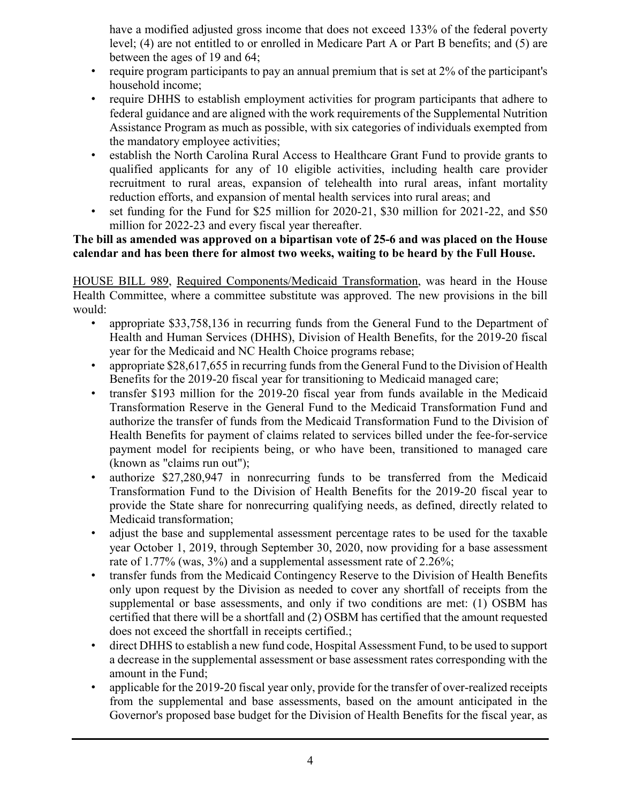have a modified adjusted gross income that does not exceed 133% of the federal poverty level; (4) are not entitled to or enrolled in Medicare Part A or Part B benefits; and (5) are between the ages of 19 and 64;

- require program participants to pay an annual premium that is set at 2% of the participant's household income;
- require DHHS to establish employment activities for program participants that adhere to federal guidance and are aligned with the work requirements of the Supplemental Nutrition Assistance Program as much as possible, with six categories of individuals exempted from the mandatory employee activities;
- establish the North Carolina Rural Access to Healthcare Grant Fund to provide grants to qualified applicants for any of 10 eligible activities, including health care provider recruitment to rural areas, expansion of telehealth into rural areas, infant mortality reduction efforts, and expansion of mental health services into rural areas; and
- set funding for the Fund for \$25 million for 2020-21, \$30 million for 2021-22, and \$50 million for 2022-23 and every fiscal year thereafter.

#### **The bill as amended was approved on a bipartisan vote of 25-6 and was placed on the House calendar and has been there for almost two weeks, waiting to be heard by the Full House.**

HOUSE BILL 989, Required Components/Medicaid Transformation, was heard in the House Health Committee, where a committee substitute was approved. The new provisions in the bill would:

- appropriate \$33,758,136 in recurring funds from the General Fund to the Department of Health and Human Services (DHHS), Division of Health Benefits, for the 2019-20 fiscal year for the Medicaid and NC Health Choice programs rebase;
- appropriate \$28,617,655 in recurring funds from the General Fund to the Division of Health Benefits for the 2019-20 fiscal year for transitioning to Medicaid managed care;
- transfer \$193 million for the 2019-20 fiscal year from funds available in the Medicaid Transformation Reserve in the General Fund to the Medicaid Transformation Fund and authorize the transfer of funds from the Medicaid Transformation Fund to the Division of Health Benefits for payment of claims related to services billed under the fee-for-service payment model for recipients being, or who have been, transitioned to managed care (known as "claims run out");
- authorize \$27,280,947 in nonrecurring funds to be transferred from the Medicaid Transformation Fund to the Division of Health Benefits for the 2019-20 fiscal year to provide the State share for nonrecurring qualifying needs, as defined, directly related to Medicaid transformation;
- adjust the base and supplemental assessment percentage rates to be used for the taxable year October 1, 2019, through September 30, 2020, now providing for a base assessment rate of 1.77% (was, 3%) and a supplemental assessment rate of 2.26%;
- transfer funds from the Medicaid Contingency Reserve to the Division of Health Benefits only upon request by the Division as needed to cover any shortfall of receipts from the supplemental or base assessments, and only if two conditions are met: (1) OSBM has certified that there will be a shortfall and (2) OSBM has certified that the amount requested does not exceed the shortfall in receipts certified.;
- direct DHHS to establish a new fund code, Hospital Assessment Fund, to be used to support a decrease in the supplemental assessment or base assessment rates corresponding with the amount in the Fund;
- applicable for the 2019-20 fiscal year only, provide for the transfer of over-realized receipts from the supplemental and base assessments, based on the amount anticipated in the Governor's proposed base budget for the Division of Health Benefits for the fiscal year, as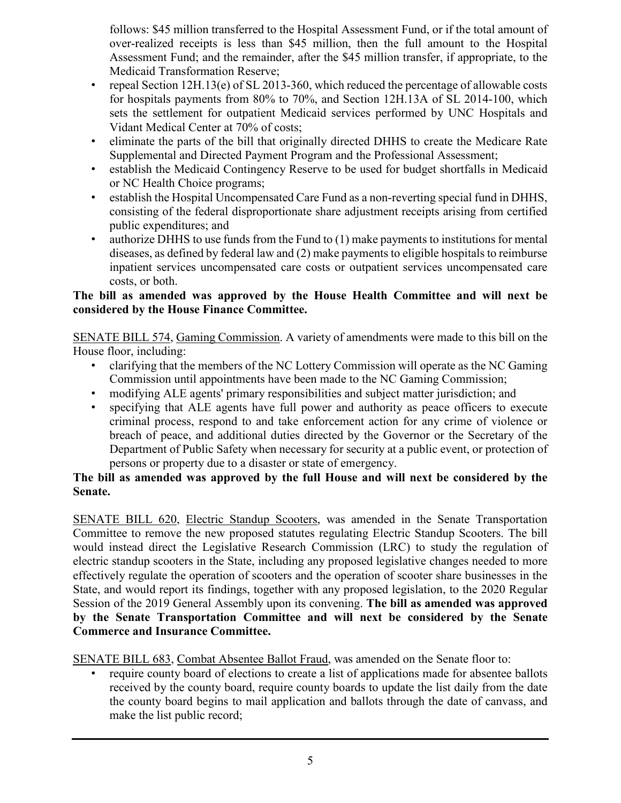follows: \$45 million transferred to the Hospital Assessment Fund, or if the total amount of over-realized receipts is less than \$45 million, then the full amount to the Hospital Assessment Fund; and the remainder, after the \$45 million transfer, if appropriate, to the Medicaid Transformation Reserve;

- repeal Section 12H.13(e) of SL 2013-360, which reduced the percentage of allowable costs for hospitals payments from 80% to 70%, and Section 12H.13A of SL 2014-100, which sets the settlement for outpatient Medicaid services performed by UNC Hospitals and Vidant Medical Center at 70% of costs;
- eliminate the parts of the bill that originally directed DHHS to create the Medicare Rate Supplemental and Directed Payment Program and the Professional Assessment;
- establish the Medicaid Contingency Reserve to be used for budget shortfalls in Medicaid or NC Health Choice programs;
- establish the Hospital Uncompensated Care Fund as a non-reverting special fund in DHHS, consisting of the federal disproportionate share adjustment receipts arising from certified public expenditures; and
- authorize DHHS to use funds from the Fund to (1) make payments to institutions for mental diseases, as defined by federal law and (2) make payments to eligible hospitals to reimburse inpatient services uncompensated care costs or outpatient services uncompensated care costs, or both.

#### **The bill as amended was approved by the House Health Committee and will next be considered by the House Finance Committee.**

SENATE BILL 574, Gaming Commission. A variety of amendments were made to this bill on the House floor, including:

- clarifying that the members of the NC Lottery Commission will operate as the NC Gaming Commission until appointments have been made to the NC Gaming Commission;
- modifying ALE agents' primary responsibilities and subject matter jurisdiction; and
- specifying that ALE agents have full power and authority as peace officers to execute criminal process, respond to and take enforcement action for any crime of violence or breach of peace, and additional duties directed by the Governor or the Secretary of the Department of Public Safety when necessary for security at a public event, or protection of persons or property due to a disaster or state of emergency.

#### **The bill as amended was approved by the full House and will next be considered by the Senate.**

SENATE BILL 620, Electric Standup Scooters, was amended in the Senate Transportation Committee to remove the new proposed statutes regulating Electric Standup Scooters. The bill would instead direct the Legislative Research Commission (LRC) to study the regulation of electric standup scooters in the State, including any proposed legislative changes needed to more effectively regulate the operation of scooters and the operation of scooter share businesses in the State, and would report its findings, together with any proposed legislation, to the 2020 Regular Session of the 2019 General Assembly upon its convening. **The bill as amended was approved by the Senate Transportation Committee and will next be considered by the Senate Commerce and Insurance Committee.**

SENATE BILL 683, Combat Absentee Ballot Fraud, was amended on the Senate floor to:

require county board of elections to create a list of applications made for absentee ballots received by the county board, require county boards to update the list daily from the date the county board begins to mail application and ballots through the date of canvass, and make the list public record;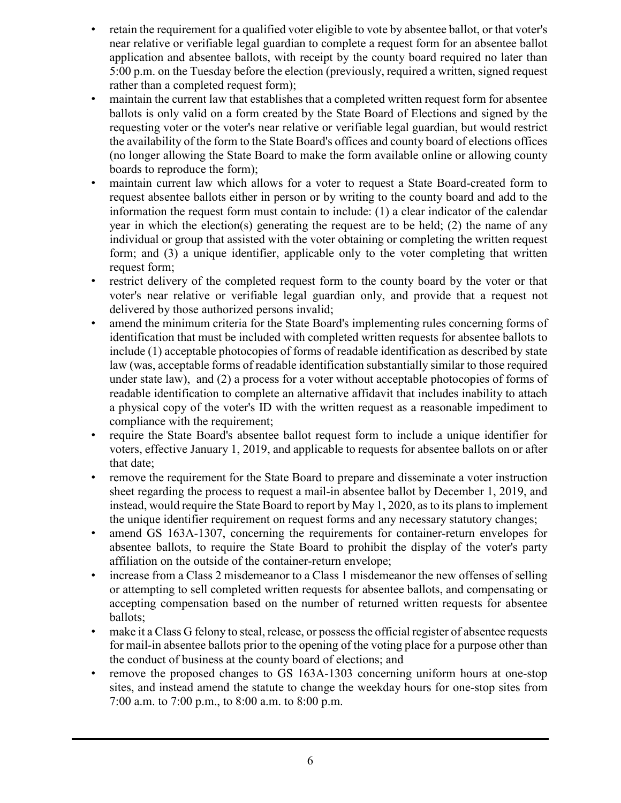- retain the requirement for a qualified voter eligible to vote by absentee ballot, or that voter's near relative or verifiable legal guardian to complete a request form for an absentee ballot application and absentee ballots, with receipt by the county board required no later than 5:00 p.m. on the Tuesday before the election (previously, required a written, signed request rather than a completed request form);
- maintain the current law that establishes that a completed written request form for absentee ballots is only valid on a form created by the State Board of Elections and signed by the requesting voter or the voter's near relative or verifiable legal guardian, but would restrict the availability of the form to the State Board's offices and county board of elections offices (no longer allowing the State Board to make the form available online or allowing county boards to reproduce the form);
- maintain current law which allows for a voter to request a State Board-created form to request absentee ballots either in person or by writing to the county board and add to the information the request form must contain to include: (1) a clear indicator of the calendar year in which the election(s) generating the request are to be held; (2) the name of any individual or group that assisted with the voter obtaining or completing the written request form; and (3) a unique identifier, applicable only to the voter completing that written request form;
- restrict delivery of the completed request form to the county board by the voter or that voter's near relative or verifiable legal guardian only, and provide that a request not delivered by those authorized persons invalid;
- amend the minimum criteria for the State Board's implementing rules concerning forms of identification that must be included with completed written requests for absentee ballots to include (1) acceptable photocopies of forms of readable identification as described by state law (was, acceptable forms of readable identification substantially similar to those required under state law), and (2) a process for a voter without acceptable photocopies of forms of readable identification to complete an alternative affidavit that includes inability to attach a physical copy of the voter's ID with the written request as a reasonable impediment to compliance with the requirement;
- require the State Board's absentee ballot request form to include a unique identifier for voters, effective January 1, 2019, and applicable to requests for absentee ballots on or after that date;
- remove the requirement for the State Board to prepare and disseminate a voter instruction sheet regarding the process to request a mail-in absentee ballot by December 1, 2019, and instead, would require the State Board to report by May 1, 2020, as to its plans to implement the unique identifier requirement on request forms and any necessary statutory changes;
- amend GS 163A-1307, concerning the requirements for container-return envelopes for absentee ballots, to require the State Board to prohibit the display of the voter's party affiliation on the outside of the container-return envelope;
- increase from a Class 2 misdemeanor to a Class 1 misdemeanor the new offenses of selling or attempting to sell completed written requests for absentee ballots, and compensating or accepting compensation based on the number of returned written requests for absentee ballots;
- make it a Class G felony to steal, release, or possess the official register of absentee requests for mail-in absentee ballots prior to the opening of the voting place for a purpose other than the conduct of business at the county board of elections; and
- remove the proposed changes to GS 163A-1303 concerning uniform hours at one-stop sites, and instead amend the statute to change the weekday hours for one-stop sites from 7:00 a.m. to 7:00 p.m., to 8:00 a.m. to 8:00 p.m.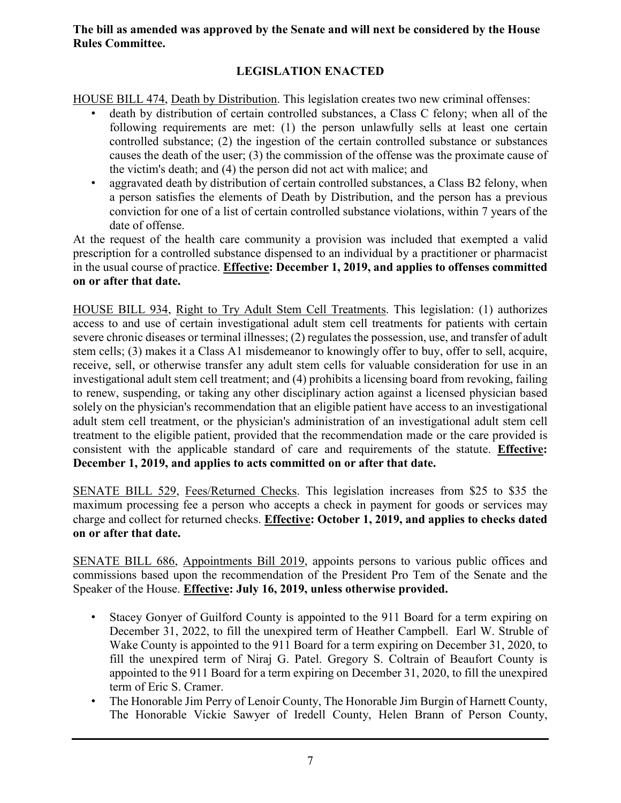#### **The bill as amended was approved by the Senate and will next be considered by the House Rules Committee.**

### **LEGISLATION ENACTED**

HOUSE BILL 474, Death by Distribution. This legislation creates two new criminal offenses:

- death by distribution of certain controlled substances, a Class C felony; when all of the following requirements are met: (1) the person unlawfully sells at least one certain controlled substance; (2) the ingestion of the certain controlled substance or substances causes the death of the user; (3) the commission of the offense was the proximate cause of the victim's death; and (4) the person did not act with malice; and
- aggravated death by distribution of certain controlled substances, a Class B2 felony, when a person satisfies the elements of Death by Distribution, and the person has a previous conviction for one of a list of certain controlled substance violations, within 7 years of the date of offense.

At the request of the health care community a provision was included that exempted a valid prescription for a controlled substance dispensed to an individual by a practitioner or pharmacist in the usual course of practice. **Effective: December 1, 2019, and applies to offenses committed on or after that date.**

HOUSE BILL 934, Right to Try Adult Stem Cell Treatments. This legislation: (1) authorizes access to and use of certain investigational adult stem cell treatments for patients with certain severe chronic diseases or terminal illnesses; (2) regulates the possession, use, and transfer of adult stem cells; (3) makes it a Class A1 misdemeanor to knowingly offer to buy, offer to sell, acquire, receive, sell, or otherwise transfer any adult stem cells for valuable consideration for use in an investigational adult stem cell treatment; and (4) prohibits a licensing board from revoking, failing to renew, suspending, or taking any other disciplinary action against a licensed physician based solely on the physician's recommendation that an eligible patient have access to an investigational adult stem cell treatment, or the physician's administration of an investigational adult stem cell treatment to the eligible patient, provided that the recommendation made or the care provided is consistent with the applicable standard of care and requirements of the statute. **Effective: December 1, 2019, and applies to acts committed on or after that date.**

SENATE BILL 529, Fees/Returned Checks. This legislation increases from \$25 to \$35 the maximum processing fee a person who accepts a check in payment for goods or services may charge and collect for returned checks. **Effective: October 1, 2019, and applies to checks dated on or after that date.**

SENATE BILL 686, Appointments Bill 2019, appoints persons to various public offices and commissions based upon the recommendation of the President Pro Tem of the Senate and the Speaker of the House. **Effective: July 16, 2019, unless otherwise provided.**

- Stacey Gonyer of Guilford County is appointed to the 911 Board for a term expiring on December 31, 2022, to fill the unexpired term of Heather Campbell. Earl W. Struble of Wake County is appointed to the 911 Board for a term expiring on December 31, 2020, to fill the unexpired term of Niraj G. Patel. Gregory S. Coltrain of Beaufort County is appointed to the 911 Board for a term expiring on December 31, 2020, to fill the unexpired term of Eric S. Cramer.
- The Honorable Jim Perry of Lenoir County, The Honorable Jim Burgin of Harnett County, The Honorable Vickie Sawyer of Iredell County, Helen Brann of Person County,